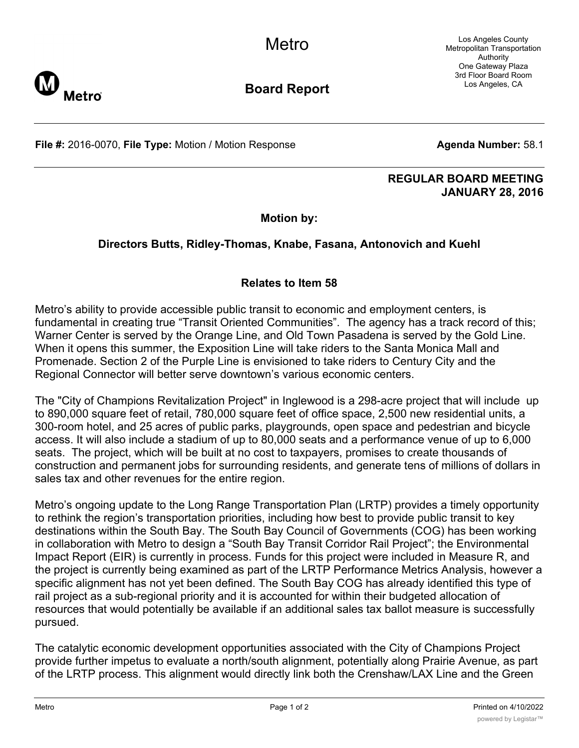Los Angeles County Metropolitan Transportation Authority One Gateway Plaza 3rd Floor Board Room Los Angeles, CA



**Board Report**

**File #:** 2016-0070, File Type: Motion / Motion Response **Agenda Number:** 58.1

## **REGULAR BOARD MEETING JANUARY 28, 2016**

**Motion by:**

## **Directors Butts, Ridley-Thomas, Knabe, Fasana, Antonovich and Kuehl**

## **Relates to Item 58**

Metro's ability to provide accessible public transit to economic and employment centers, is fundamental in creating true "Transit Oriented Communities". The agency has a track record of this; Warner Center is served by the Orange Line, and Old Town Pasadena is served by the Gold Line. When it opens this summer, the Exposition Line will take riders to the Santa Monica Mall and Promenade. Section 2 of the Purple Line is envisioned to take riders to Century City and the Regional Connector will better serve downtown's various economic centers.

The "City of Champions Revitalization Project" in Inglewood is a 298-acre project that will include up to 890,000 square feet of retail, 780,000 square feet of office space, 2,500 new residential units, a 300-room hotel, and 25 acres of public parks, playgrounds, open space and pedestrian and bicycle access. It will also include a stadium of up to 80,000 seats and a performance venue of up to 6,000 seats. The project, which will be built at no cost to taxpayers, promises to create thousands of construction and permanent jobs for surrounding residents, and generate tens of millions of dollars in sales tax and other revenues for the entire region.

Metro's ongoing update to the Long Range Transportation Plan (LRTP) provides a timely opportunity to rethink the region's transportation priorities, including how best to provide public transit to key destinations within the South Bay. The South Bay Council of Governments (COG) has been working in collaboration with Metro to design a "South Bay Transit Corridor Rail Project"; the Environmental Impact Report (EIR) is currently in process. Funds for this project were included in Measure R, and the project is currently being examined as part of the LRTP Performance Metrics Analysis, however a specific alignment has not yet been defined. The South Bay COG has already identified this type of rail project as a sub-regional priority and it is accounted for within their budgeted allocation of resources that would potentially be available if an additional sales tax ballot measure is successfully pursued.

The catalytic economic development opportunities associated with the City of Champions Project provide further impetus to evaluate a north/south alignment, potentially along Prairie Avenue, as part of the LRTP process. This alignment would directly link both the Crenshaw/LAX Line and the Green